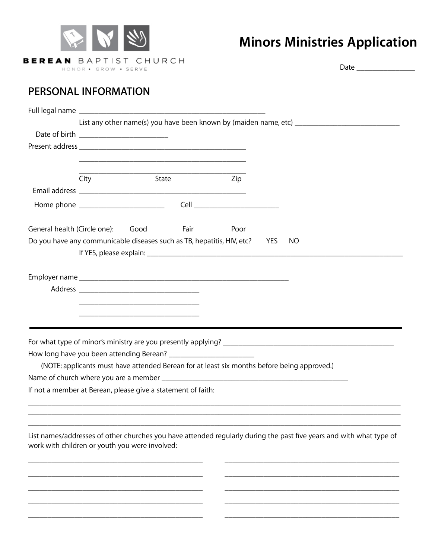

## **Minors Ministries Application**

Date \_\_\_\_\_\_\_\_\_\_\_\_\_\_\_

## **PERSONAL INFORMATION**

|                                                                                             | List any other name(s) you have been known by (maiden name, etc) __________________________________ |                                                                                           |             |      |  |                                                                                                                     |  |  |
|---------------------------------------------------------------------------------------------|-----------------------------------------------------------------------------------------------------|-------------------------------------------------------------------------------------------|-------------|------|--|---------------------------------------------------------------------------------------------------------------------|--|--|
|                                                                                             |                                                                                                     |                                                                                           |             |      |  |                                                                                                                     |  |  |
|                                                                                             |                                                                                                     |                                                                                           |             |      |  |                                                                                                                     |  |  |
|                                                                                             |                                                                                                     |                                                                                           |             |      |  |                                                                                                                     |  |  |
|                                                                                             | City                                                                                                | State                                                                                     |             | Zip  |  |                                                                                                                     |  |  |
|                                                                                             |                                                                                                     |                                                                                           |             |      |  |                                                                                                                     |  |  |
|                                                                                             |                                                                                                     |                                                                                           |             |      |  |                                                                                                                     |  |  |
| General health (Circle one): Good                                                           |                                                                                                     |                                                                                           | <b>Eair</b> | Poor |  |                                                                                                                     |  |  |
| Do you have any communicable diseases such as TB, hepatitis, HIV, etc?<br><b>YES</b><br>NO. |                                                                                                     |                                                                                           |             |      |  |                                                                                                                     |  |  |
|                                                                                             |                                                                                                     |                                                                                           |             |      |  |                                                                                                                     |  |  |
|                                                                                             |                                                                                                     |                                                                                           |             |      |  |                                                                                                                     |  |  |
|                                                                                             |                                                                                                     |                                                                                           |             |      |  |                                                                                                                     |  |  |
|                                                                                             |                                                                                                     | the control of the control of the control of the control of the control of the control of |             |      |  |                                                                                                                     |  |  |
|                                                                                             |                                                                                                     |                                                                                           |             |      |  |                                                                                                                     |  |  |
| How long have you been attending Berean? ___________________________                        |                                                                                                     |                                                                                           |             |      |  |                                                                                                                     |  |  |
|                                                                                             |                                                                                                     |                                                                                           |             |      |  | (NOTE: applicants must have attended Berean for at least six months before being approved.)                         |  |  |
|                                                                                             |                                                                                                     |                                                                                           |             |      |  |                                                                                                                     |  |  |
| If not a member at Berean, please give a statement of faith:                                |                                                                                                     |                                                                                           |             |      |  |                                                                                                                     |  |  |
|                                                                                             |                                                                                                     |                                                                                           |             |      |  |                                                                                                                     |  |  |
| work with children or youth you were involved:                                              |                                                                                                     |                                                                                           |             |      |  | List names/addresses of other churches you have attended regularly during the past five years and with what type of |  |  |
|                                                                                             |                                                                                                     |                                                                                           |             |      |  |                                                                                                                     |  |  |
|                                                                                             |                                                                                                     |                                                                                           |             |      |  |                                                                                                                     |  |  |
|                                                                                             |                                                                                                     |                                                                                           |             |      |  |                                                                                                                     |  |  |

\_\_\_\_\_\_\_\_\_\_\_\_\_\_\_\_\_\_\_\_\_\_\_\_\_\_\_\_\_\_\_\_\_\_\_\_\_\_\_\_\_\_\_\_\_ \_\_\_\_\_\_\_\_\_\_\_\_\_\_\_\_\_\_\_\_\_\_\_\_\_\_\_\_\_\_\_\_\_\_\_\_\_\_\_\_\_\_\_\_\_ \_\_\_\_\_\_\_\_\_\_\_\_\_\_\_\_\_\_\_\_\_\_\_\_\_\_\_\_\_\_\_\_\_\_\_\_\_\_\_\_\_\_\_\_\_ \_\_\_\_\_\_\_\_\_\_\_\_\_\_\_\_\_\_\_\_\_\_\_\_\_\_\_\_\_\_\_\_\_\_\_\_\_\_\_\_\_\_\_\_\_